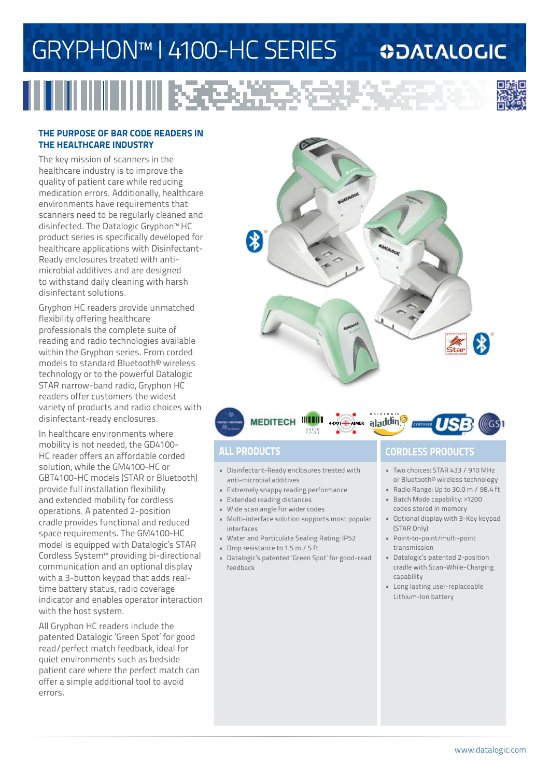# GRYPHON™ I 4100-HC SERIES

l RSF

### **ODATALOGIC**



#### **THE PURPOSE OF BAR CODE READERS IN THE HEALTHCARE INDUSTRY**

The key mission of scanners in the healthcare industry is to improve the quality of patient care while reducing medication errors. Additionally, healthcare environments have requirements that scanners need to be regularly cleaned and disinfected. The Datalogic Gryphon™ HC product series is specifically developed for healthcare applications with Disinfectant-Ready enclosures treated with antimicrobial additives and are designed to withstand daily cleaning with harsh disinfectant solutions.

Gryphon HC readers provide unmatched flexibility offering healthcare professionals the complete suite of reading and radio technologies available within the Gryphon series. From corded models to standard Bluetooth® wireless technology or to the powerful Datalogic STAR narrow-band radio, Gryphon HC readers offer customers the widest variety of products and radio choices with disinfectant-ready enclosures.

In healthcare environments where mobility is not needed, the GD4100- HC reader offers an affordable corded solution, while the GM4100-HC or GBT4100-HC models (STAR or Bluetooth) provide full installation flexibility and extended mobility for cordless operations. A patented 2-position cradle provides functional and reduced space requirements. The GM4100-HC model is equipped with Datalogic's STAR Cordless System™ providing bi-directional communication and an optional display with a 3-button keypad that adds realtime battery status, radio coverage indicator and enables operator interaction with the host system.

All Gryphon HC readers include the patented Datalogic 'Green Spot' for good read/perfect match feedback, ideal for quiet environments such as bedside patient care where the perfect match can offer a simple additional tool to avoid errors.





- Disinfectant-Ready enclosures treated with anti-microbial additives
- Extremely snappy reading performance
- Extended reading distances
- Wide scan angle for wider codes
- Multi-interface solution supports most popular interfaces
- Water and Particulate Sealing Rating: IP52
- Drop resistance to 1.5 m / 5 ft
- Datalogic's patented 'Green Spot' for good-read feedback

### **ALL PRODUCTS CORDLESS PRODUCTS**

- Two choices: STAR 433 / 910 MHz or Bluetooth® wireless technology
- Radio Range: Up to 30.0 m / 98.4 ft • Batch Mode capability: >1200
- codes stored in memory • Optional display with 3-Key keypad (STAR Only)
- Point-to-point/multi-point transmission
- Datalogic's patented 2-position cradle with Scan-While-Charging capability
- Long lasting user-replaceable Lithium-Ion battery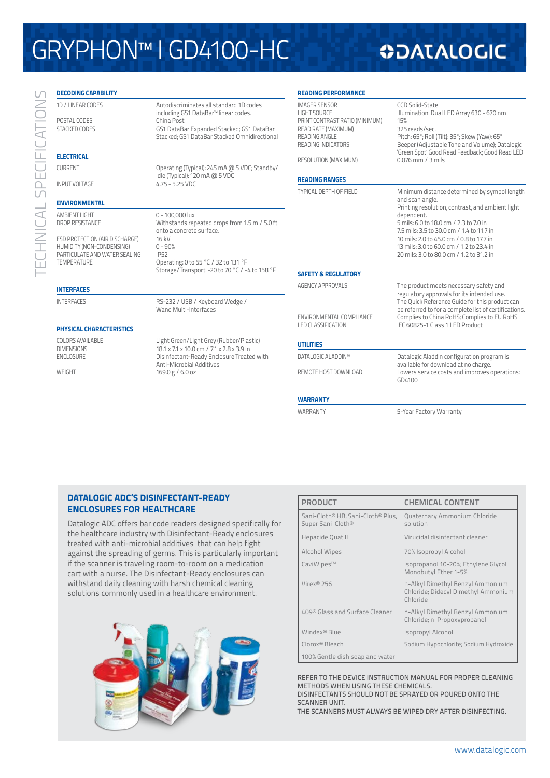# GRYPHON™ I GD4100-HC

## **ODATALOGIC**

| <b>DECODING CAPABILITY</b>                                                                                         |                                                                                                                                                                                                        | <b>READING PERFORMANCE</b>                                                                                                                  |                                                                                                                                                                                                                                            |  |
|--------------------------------------------------------------------------------------------------------------------|--------------------------------------------------------------------------------------------------------------------------------------------------------------------------------------------------------|---------------------------------------------------------------------------------------------------------------------------------------------|--------------------------------------------------------------------------------------------------------------------------------------------------------------------------------------------------------------------------------------------|--|
| 1D / LINEAR CODES<br>POSTAL CODES<br><b>STACKED CODES</b><br><b>ELECTRICAL</b>                                     | Autodiscriminates all standard 1D codes<br>including GS1 DataBar <sup>™</sup> linear codes.<br>China Post<br>GS1 DataBar Expanded Stacked; GS1 DataBar<br>Stacked; GS1 DataBar Stacked Omnidirectional | <b>IMAGER SENSOR</b><br><b>LIGHT SOURCE</b><br>PRINT CONTRAST RATIO (MINIMUM)<br>READ RATE (MAXIMUM)<br>READING ANGLE<br>READING INDICATORS | CCD Solid-State<br>Illumination: Dual LED Array 630 - 670 nm<br>15%<br>325 reads/sec.<br>Pitch: 65°; Roll (Tilt): 35°; Skew (Yaw): 65°<br>Beeper (Adjustable Tone and Volume); Datalogic<br>'Green Spot' Good Read Feedback; Good Read LED |  |
| Operating (Typical): 245 mA @ 5 VDC; Standby/<br><b>CURRENT</b>                                                    |                                                                                                                                                                                                        | RESOLUTION (MAXIMUM)                                                                                                                        | 0.076 mm / 3 mils                                                                                                                                                                                                                          |  |
| <b>INPUT VOLTAGE</b>                                                                                               | Idle (Typical): 120 mA @ 5 VDC<br>$4.75 - 5.25$ VDC                                                                                                                                                    | <b>READING RANGES</b>                                                                                                                       |                                                                                                                                                                                                                                            |  |
|                                                                                                                    |                                                                                                                                                                                                        | <b>TYPICAL DEPTH OF FIELD</b>                                                                                                               | Minimum distance determined by symbol length                                                                                                                                                                                               |  |
| <b>ENVIRONMENTAL</b>                                                                                               |                                                                                                                                                                                                        |                                                                                                                                             | and scan angle.<br>Printing resolution, contrast, and ambient light                                                                                                                                                                        |  |
| AMBIENT LIGHT<br>DROP RESISTANCE                                                                                   | 0 - 100.000 lux<br>Withstands repeated drops from 1.5 m / 5.0 ft<br>onto a concrete surface.                                                                                                           |                                                                                                                                             | dependent.<br>5 mils: 6.0 to 18.0 cm / 2.3 to 7.0 in<br>7.5 mils: 3.5 to 30.0 cm / 1.4 to 11.7 in                                                                                                                                          |  |
| ESD PROTECTION (AIR DISCHARGE)<br>HUMIDITY (NON-CONDENSING)<br>PARTICULATE AND WATER SEALING<br><b>TEMPERATURE</b> | 16 kV<br>$0 - 90%$<br><b>IP52</b><br>Operating: 0 to 55 °C / 32 to 131 °F                                                                                                                              |                                                                                                                                             | 10 mils: 2.0 to 45.0 cm / 0.8 to 17.7 in<br>13 mils: 3.0 to 60.0 cm / 1.2 to 23.4 in<br>20 mils: 3.0 to 80.0 cm / 1.2 to 31.2 in                                                                                                           |  |
|                                                                                                                    | Storage/Transport: -20 to 70 °C / -4 to 158 °F                                                                                                                                                         | <b>SAFETY &amp; REGULATORY</b>                                                                                                              |                                                                                                                                                                                                                                            |  |
| <b>INTERFACES</b>                                                                                                  |                                                                                                                                                                                                        | <b>AGENCY APPROVALS</b>                                                                                                                     | The product meets necessary safety and<br>regulatory approvals for its intended use.                                                                                                                                                       |  |
| <b>INTERFACES</b>                                                                                                  | RS-232 / USB / Keyboard Wedge /<br>Wand Multi-Interfaces                                                                                                                                               | ENVIRONMENTAL COMPLIANCE                                                                                                                    | The Quick Reference Guide for this product can<br>be referred to for a complete list of certifications.<br>Complies to China RoHS; Complies to EU RoHS                                                                                     |  |
| <b>PHYSICAL CHARACTERISTICS</b>                                                                                    |                                                                                                                                                                                                        | <b>LED CLASSIFICATION</b>                                                                                                                   | IEC 60825-1 Class 1 LED Product                                                                                                                                                                                                            |  |
| <b>COLORS AVAILABLE</b><br><b>DIMENSIONS</b>                                                                       | Light Green/Light Grey (Rubber/Plastic)<br>18.1 x 7.1 x 10.0 cm / 7.1 x 2.8 x 3.9 in                                                                                                                   | <b>UTILITIES</b>                                                                                                                            |                                                                                                                                                                                                                                            |  |
| <b>ENCLOSURE</b>                                                                                                   | Disinfectant-Ready Enclosure Treated with                                                                                                                                                              | DATALOGIC ALADDIN™                                                                                                                          | Datalogic Aladdin configuration program is                                                                                                                                                                                                 |  |
| WEIGHT                                                                                                             | <b>Anti-Microbial Additives</b><br>169.0 g / 6.0 oz                                                                                                                                                    | REMOTE HOST DOWNLOAD                                                                                                                        | available for download at no charge.<br>Lowers service costs and improves operations:<br>GD4100                                                                                                                                            |  |

#### **WARRANTY**

WARRANTY 5-Year Factory Warranty

#### **DATALOGIC ADC'S DISINFECTANT-READY ENCLOSURES FOR HEALTHCARE**

Datalogic ADC offers bar code readers designed specifically for the healthcare industry with Disinfectant-Ready enclosures treated with anti-microbial additives that can help fight against the spreading of germs. This is particularly important if the scanner is traveling room-to-room on a medication cart with a nurse. The Disinfectant-Ready enclosures can withstand daily cleaning with harsh chemical cleaning solutions commonly used in a healthcare environment.



| <b>PRODUCT</b>                                         | <b>CHEMICAL CONTENT</b>                                                             |
|--------------------------------------------------------|-------------------------------------------------------------------------------------|
| Sani-Cloth® HB, Sani-Cloth® Plus,<br>Super Sani-Cloth® | Quaternary Ammonium Chloride<br>solution                                            |
| Hepacide Quat II                                       | Virucidal disinfectant cleaner                                                      |
| Alcohol Wipes                                          | 70% Isopropyl Alcohol                                                               |
| CaviWipes™                                             | Isopropanol 10-20%; Ethylene Glycol<br>Monobutyl Ether 1-5%                         |
| Virex® 256                                             | n-Alkyl Dimethyl Benzyl Ammonium<br>Chloride; Didecyl Dimethyl Ammonium<br>Chloride |
| 409® Glass and Surface Cleaner                         | n-Alkyl Dimethyl Benzyl Ammonium<br>Chloride; n-Propoxypropanol                     |
| Windex® Blue                                           | Isopropyl Alcohol                                                                   |
| Clorox® Bleach                                         | Sodium Hypochlorite; Sodium Hydroxide                                               |
| 100% Gentle dish soap and water                        |                                                                                     |

REFER TO THE DEVICE INSTRUCTION MANUAL FOR PROPER CLEANING METHODS WHEN USING THESE CHEMICALS. DISINFECTANTS SHOULD NOT BE SPRAYED OR POURED ONTO THE SCANNER UNIT.

THE SCANNERS MUST ALWAYS BE WIPED DRY AFTER DISINFECTING.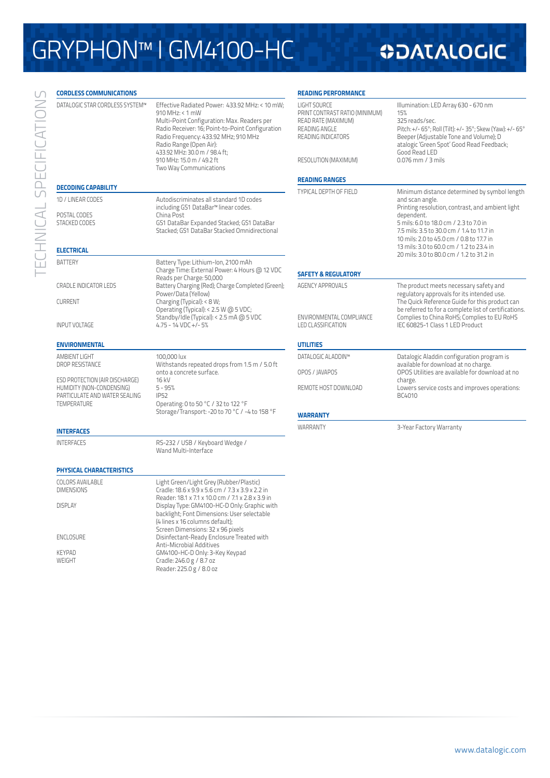# GRYPHON™ I GM4100-HC

## **ODATALOGIC**

| <b>CORDLESS COMMUNICATIONS</b>                                                                                                   |                                                                                                                                                                                                                                                                                                                                 | <b>READING PERFORMANCE</b>                                                                                                                  |                                                                                                                                                                                                                                                                                                                  |  |
|----------------------------------------------------------------------------------------------------------------------------------|---------------------------------------------------------------------------------------------------------------------------------------------------------------------------------------------------------------------------------------------------------------------------------------------------------------------------------|---------------------------------------------------------------------------------------------------------------------------------------------|------------------------------------------------------------------------------------------------------------------------------------------------------------------------------------------------------------------------------------------------------------------------------------------------------------------|--|
| DATALOGIC STAR CORDLESS SYSTEM™                                                                                                  | Effective Radiated Power: 433.92 MHz: < 10 mW:<br>910 MHz: < 1 mW<br>Multi-Point Configuration: Max. Readers per<br>Radio Receiver: 16; Point-to-Point Configuration<br>Radio Frequency: 433.92 MHz; 910 MHz<br>Radio Range (Open Air):<br>433.92 MHz: 30.0 m / 98.4 ft;<br>910 MHz: 15.0 m / 49.2 ft<br>Two Way Communications | <b>LIGHT SOURCE</b><br>PRINT CONTRAST RATIO (MINIMUM)<br>READ RATE (MAXIMUM)<br>READING ANGLE<br>READING INDICATORS<br>RESOLUTION (MAXIMUM) | Illumination: LED Array 630 - 670 nm<br>15%<br>325 reads/sec.<br>Pitch: +/- 65°; Roll (Tilt): +/- 35°; Skew (Yaw): +/- 65°<br>Beeper (Adjustable Tone and Volume); D<br>atalogic 'Green Spot' Good Read Feedback;<br>Good Read LED<br>$0.076$ mm $/$ 3 mils                                                      |  |
| <b>DECODING CAPABILITY</b>                                                                                                       |                                                                                                                                                                                                                                                                                                                                 | <b>READING RANGES</b>                                                                                                                       |                                                                                                                                                                                                                                                                                                                  |  |
| 1D / LINEAR CODES<br>POSTAL CODES<br>STACKED CODES<br><b>ELECTRICAL</b>                                                          | Autodiscriminates all standard 1D codes<br>including GS1 DataBar™ linear codes.<br>China Post<br>GS1 DataBar Expanded Stacked; GS1 DataBar<br>Stacked; GS1 DataBar Stacked Omnidirectional                                                                                                                                      | TYPICAL DEPTH OF FIELD                                                                                                                      | Minimum distance determined by symbol length<br>and scan angle.<br>Printing resolution, contrast, and ambient light<br>dependent.<br>5 mils: 6.0 to 18.0 cm / 2.3 to 7.0 in<br>7.5 mils: 3.5 to 30.0 cm / 1.4 to 11.7 in<br>10 mils: 2.0 to 45.0 cm / 0.8 to 17.7 in<br>13 mils: 3.0 to 60.0 cm / 1.2 to 23.4 in |  |
| <b>BATTERY</b>                                                                                                                   | Battery Type: Lithium-Ion, 2100 mAh<br>Charge Time: External Power: 4 Hours @ 12 VDC                                                                                                                                                                                                                                            |                                                                                                                                             | 20 mils: 3.0 to 80.0 cm / 1.2 to 31.2 in                                                                                                                                                                                                                                                                         |  |
| <b>CRADLE INDICATOR LEDS</b>                                                                                                     | Reads per Charge: 50,000<br>Battery Charging (Red); Charge Completed (Green);<br>Power/Data (Yellow)                                                                                                                                                                                                                            | <b>SAFETY &amp; REGULATORY</b><br><b>AGENCY APPROVALS</b>                                                                                   | The product meets necessary safety and<br>regulatory approvals for its intended use.                                                                                                                                                                                                                             |  |
| <b>CURRENT</b><br><b>INPUT VOLTAGE</b>                                                                                           | Charging (Typical): < 8 W;<br>Operating (Typical): < 2.5 W @ 5 VDC;<br>Standby/Idle (Typical): < 2.5 mA @ 5 VDC<br>$4.75 - 14$ VDC +/-5%                                                                                                                                                                                        | ENVIRONMENTAL COMPLIANCE<br><b>LED CLASSIFICATION</b>                                                                                       | The Quick Reference Guide for this product can<br>be referred to for a complete list of certifications.<br>Complies to China RoHS; Complies to EU RoHS<br>IEC 60825-1 Class 1 LED Product                                                                                                                        |  |
| <b>ENVIRONMENTAL</b>                                                                                                             |                                                                                                                                                                                                                                                                                                                                 | <b>UTILITIES</b>                                                                                                                            |                                                                                                                                                                                                                                                                                                                  |  |
| AMBIENT LIGHT<br>DROP RESISTANCE<br>ESD PROTECTION (AIR DISCHARGE)<br>HUMIDITY (NON-CONDENSING)<br>PARTICULATE AND WATER SEALING | 100,000 lux<br>Withstands repeated drops from 1.5 m / 5.0 ft<br>onto a concrete surface.<br>16 kV<br>$5 - 95%$<br><b>IP52</b>                                                                                                                                                                                                   | DATALOGIC ALADDIN™<br>OPOS / JAVAPOS<br>REMOTE HOST DOWNLOAD                                                                                | Datalogic Aladdin configuration program is<br>available for download at no charge.<br>OPOS Utilities are available for download at no<br>charge.<br>Lowers service costs and improves operations:<br>BC4010                                                                                                      |  |
| <b>TEMPERATURE</b>                                                                                                               | Operating: 0 to 50 °C / 32 to 122 °F<br>Storage/Transport: -20 to 70 °C / -4 to 158 °F                                                                                                                                                                                                                                          | <b>WARRANTY</b>                                                                                                                             |                                                                                                                                                                                                                                                                                                                  |  |
| <b>INTERFACES</b>                                                                                                                |                                                                                                                                                                                                                                                                                                                                 | WARRANTY                                                                                                                                    | 3-Year Factory Warranty                                                                                                                                                                                                                                                                                          |  |
| <b>INTERFACES</b>                                                                                                                | RS-232 / USB / Keyboard Wedge /<br>Wand Multi-Interface                                                                                                                                                                                                                                                                         |                                                                                                                                             |                                                                                                                                                                                                                                                                                                                  |  |
| PHYSICAL CHARACTERISTICS                                                                                                         |                                                                                                                                                                                                                                                                                                                                 |                                                                                                                                             |                                                                                                                                                                                                                                                                                                                  |  |
| COLORS AVAILABLE<br><b>DIMENSIONS</b><br><b>DISPLAY</b>                                                                          | Light Green/Light Grey (Rubber/Plastic)<br>Cradle: 18.6 x 9.9 x 5.6 cm / 7.3 x 3.9 x 2.2 in<br>Reader: 18.1 x 7.1 x 10.0 cm / 7.1 x 2.8 x 3.9 in<br>Display Type: GM4100-HC-D Only: Graphic with<br>backlight; Font Dimensions: User selectable                                                                                 |                                                                                                                                             |                                                                                                                                                                                                                                                                                                                  |  |
| <b>ENCLOSURE</b>                                                                                                                 | (4 lines x 16 columns default);<br>Screen Dimensions: 32 x 96 pixels<br>Disinfectant-Ready Enclosure Treated with<br>Anti-Microbial Additives                                                                                                                                                                                   |                                                                                                                                             |                                                                                                                                                                                                                                                                                                                  |  |

TECHNICAL SPECIFICATIONS TECHNICAL SPECIFICATIONS

Anti-Microbial Additives KEYPAD GM4100-HC-D Only: 3-Key Keypad WEIGHT Cradle: 246.0 g / 8.7 oz Reader: 225.0 g / 8.0 oz